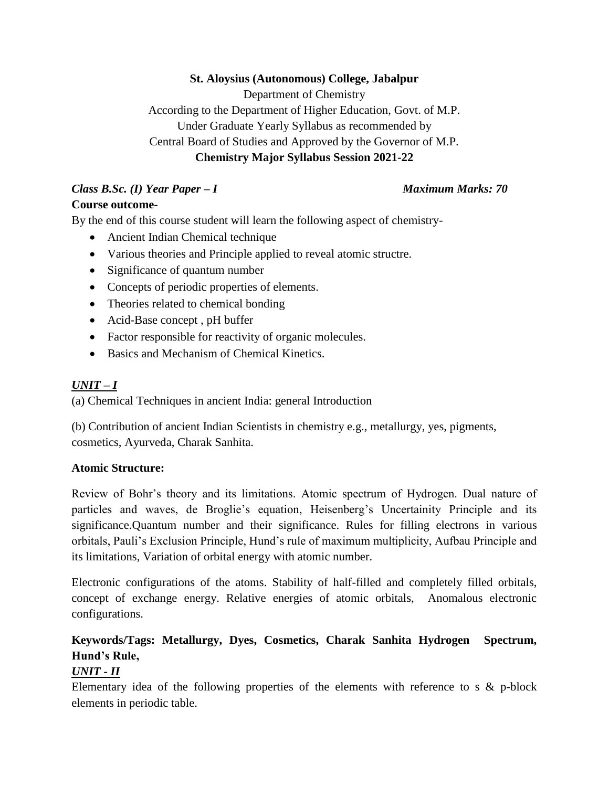#### **St. Aloysius (Autonomous) College, Jabalpur**

Department of Chemistry

According to the Department of Higher Education, Govt. of M.P. Under Graduate Yearly Syllabus as recommended by

Central Board of Studies and Approved by the Governor of M.P.

## **Chemistry Major Syllabus Session 2021-22**

# *Class B.Sc. (I) Year Paper – I Maximum Marks: 70*

# **Course outcome-**

By the end of this course student will learn the following aspect of chemistry-

- Ancient Indian Chemical technique
- Various theories and Principle applied to reveal atomic structre.
- Significance of quantum number
- Concepts of periodic properties of elements.
- Theories related to chemical bonding
- Acid-Base concept , pH buffer
- Factor responsible for reactivity of organic molecules.
- Basics and Mechanism of Chemical Kinetics.

# *UNIT – I*

(a) Chemical Techniques in ancient India: general Introduction

(b) Contribution of ancient Indian Scientists in chemistry e.g., metallurgy, yes, pigments, cosmetics, Ayurveda, Charak Sanhita.

#### **Atomic Structure:**

Review of Bohr's theory and its limitations. Atomic spectrum of Hydrogen. Dual nature of particles and waves, de Broglie's equation, Heisenberg's Uncertainity Principle and its significance.Quantum number and their significance. Rules for filling electrons in various orbitals, Pauli's Exclusion Principle, Hund's rule of maximum multiplicity, Aufbau Principle and its limitations, Variation of orbital energy with atomic number.

Electronic configurations of the atoms. Stability of half-filled and completely filled orbitals, concept of exchange energy. Relative energies of atomic orbitals, Anomalous electronic configurations.

# **Keywords/Tags: Metallurgy, Dyes, Cosmetics, Charak Sanhita Hydrogen Spectrum, Hund's Rule,**

# *UNIT - II*

Elementary idea of the following properties of the elements with reference to s  $\&$  p-block elements in periodic table.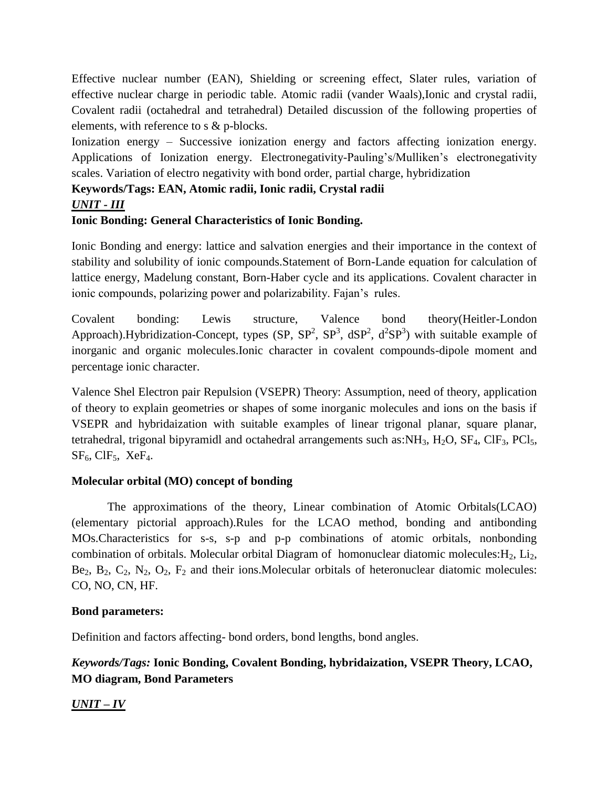Effective nuclear number (EAN), Shielding or screening effect, Slater rules, variation of effective nuclear charge in periodic table. Atomic radii (vander Waals),Ionic and crystal radii, Covalent radii (octahedral and tetrahedral) Detailed discussion of the following properties of elements, with reference to s & p-blocks.

Ionization energy – Successive ionization energy and factors affecting ionization energy. Applications of Ionization energy. Electronegativity-Pauling's/Mulliken's electronegativity scales. Variation of electro negativity with bond order, partial charge, hybridization

#### **Keywords/Tags: EAN, Atomic radii, Ionic radii, Crystal radii**

### *UNIT - III*

### **Ionic Bonding: General Characteristics of Ionic Bonding.**

Ionic Bonding and energy: lattice and salvation energies and their importance in the context of stability and solubility of ionic compounds.Statement of Born-Lande equation for calculation of lattice energy, Madelung constant, Born-Haber cycle and its applications. Covalent character in ionic compounds, polarizing power and polarizability. Fajan's rules.

Covalent bonding: Lewis structure, Valence bond theory(Heitler-London Approach).Hybridization-Concept, types  $(SP, SP^2, SP^3, dSP^2, d^2SP^3)$  with suitable example of inorganic and organic molecules.Ionic character in covalent compounds-dipole moment and percentage ionic character.

Valence Shel Electron pair Repulsion (VSEPR) Theory: Assumption, need of theory, application of theory to explain geometries or shapes of some inorganic molecules and ions on the basis if VSEPR and hybridaization with suitable examples of linear trigonal planar, square planar, tetrahedral, trigonal bipyramidl and octahedral arrangements such as: $NH<sub>3</sub>$ ,  $H<sub>2</sub>O$ ,  $SF<sub>4</sub>$ ,  $CIF<sub>3</sub>$ ,  $PCI<sub>5</sub>$ ,  $SF<sub>6</sub>$ , ClF<sub>5</sub>, XeF<sub>4</sub>.

#### **Molecular orbital (MO) concept of bonding**

The approximations of the theory, Linear combination of Atomic Orbitals(LCAO) (elementary pictorial approach).Rules for the LCAO method, bonding and antibonding MOs.Characteristics for s-s, s-p and p-p combinations of atomic orbitals, nonbonding combination of orbitals. Molecular orbital Diagram of homonuclear diatomic molecules: $H_2$ ,  $Li_2$ , Be<sub>2</sub>, B<sub>2</sub>, C<sub>2</sub>, N<sub>2</sub>, O<sub>2</sub>, F<sub>2</sub> and their ions. Molecular orbitals of heteronuclear diatomic molecules: CO, NO, CN, HF.

#### **Bond parameters:**

Definition and factors affecting- bond orders, bond lengths, bond angles.

# *Keywords/Tags:* **Ionic Bonding, Covalent Bonding, hybridaization, VSEPR Theory, LCAO, MO diagram, Bond Parameters**

## *UNIT – IV*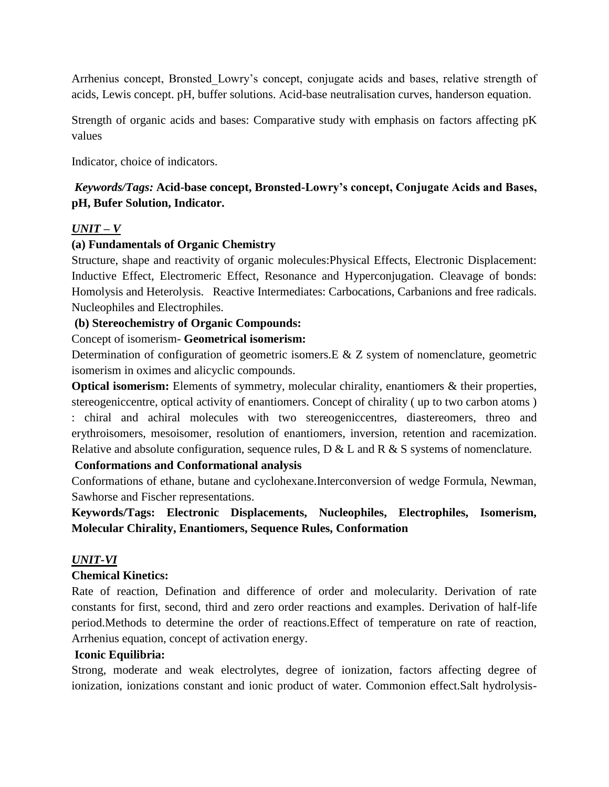Arrhenius concept, Bronsted\_Lowry's concept, conjugate acids and bases, relative strength of acids, Lewis concept. pH, buffer solutions. Acid-base neutralisation curves, handerson equation.

Strength of organic acids and bases: Comparative study with emphasis on factors affecting pK values

Indicator, choice of indicators.

## *Keywords/Tags:* **Acid-base concept, Bronsted-Lowry's concept, Conjugate Acids and Bases, pH, Bufer Solution, Indicator.**

#### *UNIT – V*

#### **(a) Fundamentals of Organic Chemistry**

Structure, shape and reactivity of organic molecules:Physical Effects, Electronic Displacement: Inductive Effect, Electromeric Effect, Resonance and Hyperconjugation. Cleavage of bonds: Homolysis and Heterolysis. Reactive Intermediates: Carbocations, Carbanions and free radicals. Nucleophiles and Electrophiles.

#### **(b) Stereochemistry of Organic Compounds:**

#### Concept of isomerism- **Geometrical isomerism:**

Determination of configuration of geometric isomers.E & Z system of nomenclature, geometric isomerism in oximes and alicyclic compounds.

**Optical isomerism:** Elements of symmetry, molecular chirality, enantiomers & their properties, stereogeniccentre, optical activity of enantiomers. Concept of chirality ( up to two carbon atoms ) : chiral and achiral molecules with two stereogeniccentres, diastereomers, threo and erythroisomers, mesoisomer, resolution of enantiomers, inversion, retention and racemization. Relative and absolute configuration, sequence rules,  $D & L$  and  $R & S$  systems of nomenclature.

#### **Conformations and Conformational analysis**

Conformations of ethane, butane and cyclohexane.Interconversion of wedge Formula, Newman, Sawhorse and Fischer representations.

**Keywords/Tags: Electronic Displacements, Nucleophiles, Electrophiles, Isomerism, Molecular Chirality, Enantiomers, Sequence Rules, Conformation**

#### *UNIT-VI*

#### **Chemical Kinetics:**

Rate of reaction, Defination and difference of order and molecularity. Derivation of rate constants for first, second, third and zero order reactions and examples. Derivation of half-life period.Methods to determine the order of reactions.Effect of temperature on rate of reaction, Arrhenius equation, concept of activation energy.

#### **Iconic Equilibria:**

Strong, moderate and weak electrolytes, degree of ionization, factors affecting degree of ionization, ionizations constant and ionic product of water. Commonion effect.Salt hydrolysis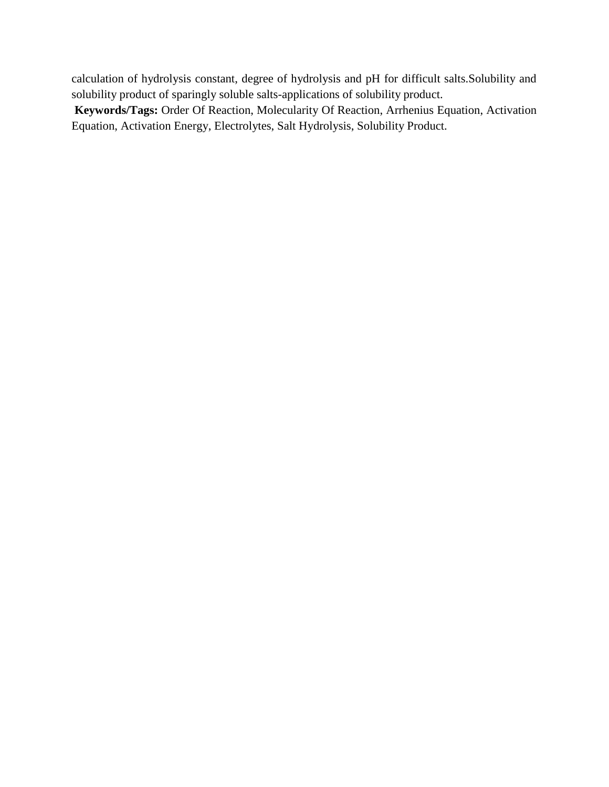calculation of hydrolysis constant, degree of hydrolysis and pH for difficult salts.Solubility and solubility product of sparingly soluble salts-applications of solubility product.

**Keywords/Tags:** Order Of Reaction, Molecularity Of Reaction, Arrhenius Equation, Activation Equation, Activation Energy, Electrolytes, Salt Hydrolysis, Solubility Product.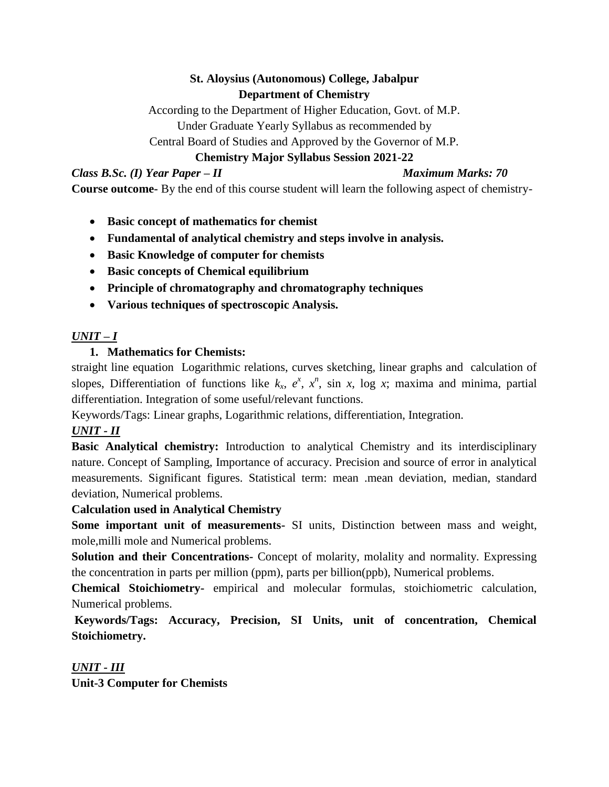# **St. Aloysius (Autonomous) College, Jabalpur Department of Chemistry**

According to the Department of Higher Education, Govt. of M.P. Under Graduate Yearly Syllabus as recommended by Central Board of Studies and Approved by the Governor of M.P.

# **Chemistry Major Syllabus Session 2021-22**

*Class B.Sc. (I) Year Paper – II Maximum Marks: 70*

**Course outcome-** By the end of this course student will learn the following aspect of chemistry-

- **Basic concept of mathematics for chemist**
- **Fundamental of analytical chemistry and steps involve in analysis.**
- **Basic Knowledge of computer for chemists**
- **Basic concepts of Chemical equilibrium**
- **Principle of chromatography and chromatography techniques**
- **Various techniques of spectroscopic Analysis.**

# *UNIT – I*

# **1. Mathematics for Chemists:**

straight line equation Logarithmic relations, curves sketching, linear graphs and calculation of slopes, Differentiation of functions like  $k_x$ ,  $e^x$ ,  $x^n$ , sin *x*, log *x*; maxima and minima, partial differentiation. Integration of some useful/relevant functions.

Keywords/Tags: Linear graphs, Logarithmic relations, differentiation, Integration.

# *UNIT - II*

**Basic Analytical chemistry:** Introduction to analytical Chemistry and its interdisciplinary nature. Concept of Sampling, Importance of accuracy. Precision and source of error in analytical measurements. Significant figures. Statistical term: mean .mean deviation, median, standard deviation, Numerical problems.

## **Calculation used in Analytical Chemistry**

**Some important unit of measurements-** SI units, Distinction between mass and weight, mole,milli mole and Numerical problems.

**Solution and their Concentrations-** Concept of molarity, molality and normality. Expressing the concentration in parts per million (ppm), parts per billion(ppb), Numerical problems.

**Chemical Stoichiometry-** empirical and molecular formulas, stoichiometric calculation, Numerical problems.

**Keywords/Tags: Accuracy, Precision, SI Units, unit of concentration, Chemical Stoichiometry.**

*UNIT - III* **Unit-3 Computer for Chemists**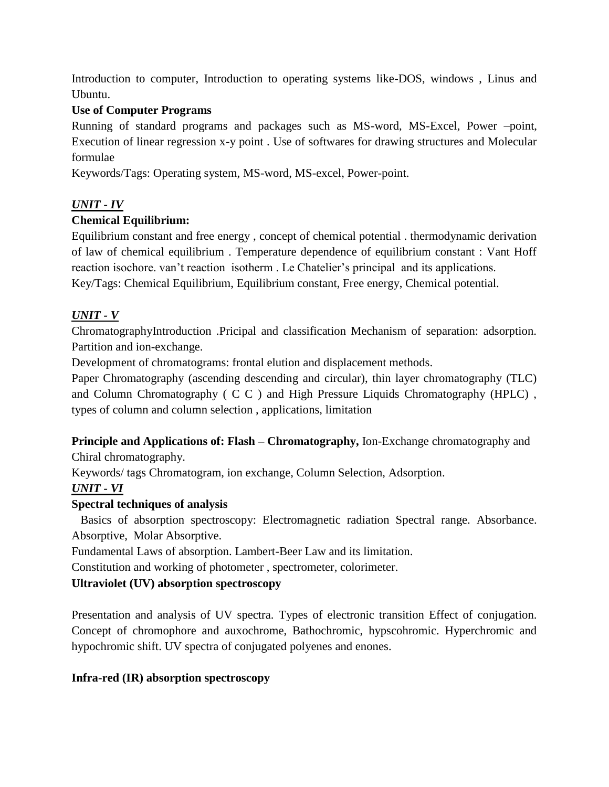Introduction to computer, Introduction to operating systems like-DOS, windows , Linus and Ubuntu.

## **Use of Computer Programs**

Running of standard programs and packages such as MS-word, MS-Excel, Power –point, Execution of linear regression x-y point . Use of softwares for drawing structures and Molecular formulae

Keywords/Tags: Operating system, MS-word, MS-excel, Power-point.

## *UNIT - IV*

## **Chemical Equilibrium:**

Equilibrium constant and free energy , concept of chemical potential . thermodynamic derivation of law of chemical equilibrium . Temperature dependence of equilibrium constant : Vant Hoff reaction isochore. van't reaction isotherm . Le Chatelier's principal and its applications. Key/Tags: Chemical Equilibrium, Equilibrium constant, Free energy, Chemical potential.

## *UNIT - V*

ChromatographyIntroduction .Pricipal and classification Mechanism of separation: adsorption. Partition and ion-exchange.

Development of chromatograms: frontal elution and displacement methods.

Paper Chromatography (ascending descending and circular), thin layer chromatography (TLC) and Column Chromatography ( C C ) and High Pressure Liquids Chromatography (HPLC) , types of column and column selection , applications, limitation

#### **Principle and Applications of: Flash – Chromatography,** Ion-Exchange chromatography and Chiral chromatography.

Keywords/ tags Chromatogram, ion exchange, Column Selection, Adsorption.

## *UNIT - VI*

#### **Spectral techniques of analysis**

 Basics of absorption spectroscopy: Electromagnetic radiation Spectral range. Absorbance. Absorptive, Molar Absorptive.

Fundamental Laws of absorption. Lambert-Beer Law and its limitation.

Constitution and working of photometer , spectrometer, colorimeter.

## **Ultraviolet (UV) absorption spectroscopy**

Presentation and analysis of UV spectra. Types of electronic transition Effect of conjugation. Concept of chromophore and auxochrome, Bathochromic, hypscohromic. Hyperchromic and hypochromic shift. UV spectra of conjugated polyenes and enones.

#### **Infra-red (IR) absorption spectroscopy**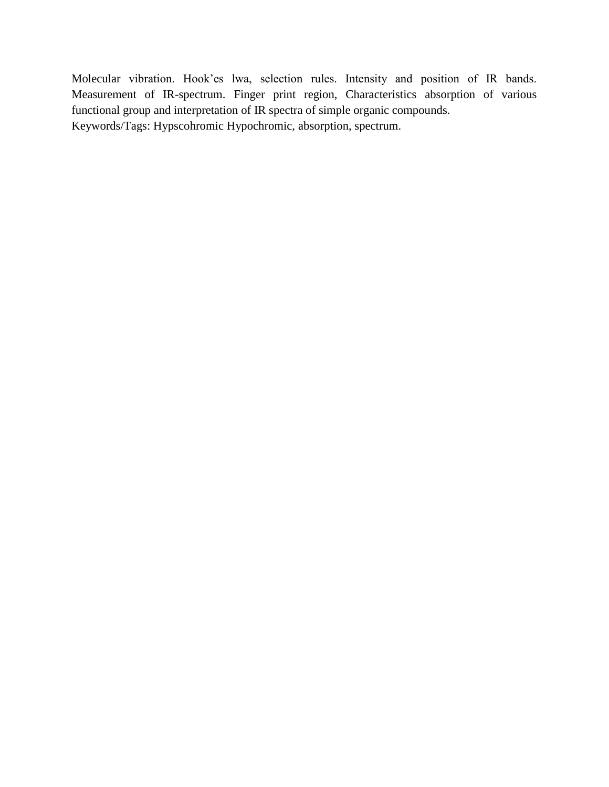Molecular vibration. Hook'es lwa, selection rules. Intensity and position of IR bands. Measurement of IR-spectrum. Finger print region, Characteristics absorption of various functional group and interpretation of IR spectra of simple organic compounds. Keywords/Tags: Hypscohromic Hypochromic, absorption, spectrum.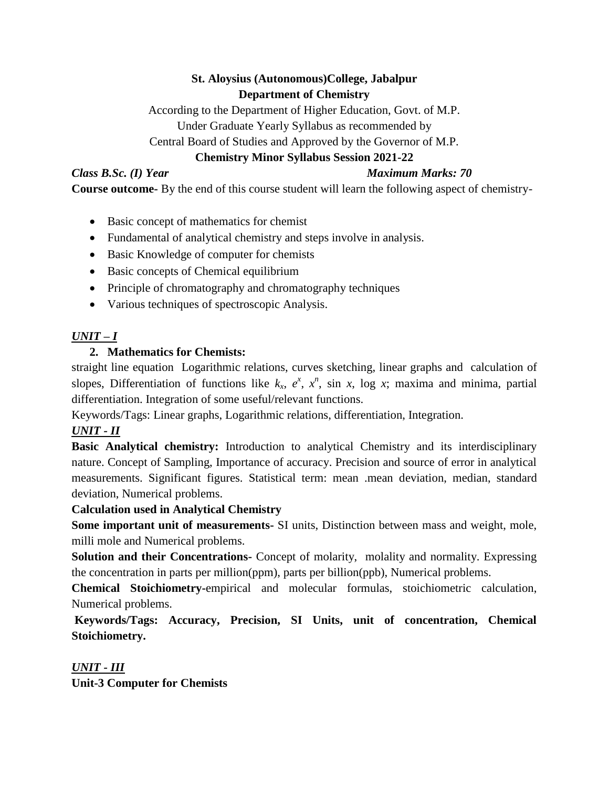# **St. Aloysius (Autonomous)College, Jabalpur Department of Chemistry**

According to the Department of Higher Education, Govt. of M.P. Under Graduate Yearly Syllabus as recommended by Central Board of Studies and Approved by the Governor of M.P.

# **Chemistry Minor Syllabus Session 2021-22**

## *Class B.Sc. (I) Year Maximum Marks: 70*

**Course outcome-** By the end of this course student will learn the following aspect of chemistry-

- Basic concept of mathematics for chemist
- Fundamental of analytical chemistry and steps involve in analysis.
- Basic Knowledge of computer for chemists
- Basic concepts of Chemical equilibrium
- Principle of chromatography and chromatography techniques
- Various techniques of spectroscopic Analysis.

# *UNIT – I*

# **2. Mathematics for Chemists:**

straight line equation Logarithmic relations, curves sketching, linear graphs and calculation of slopes, Differentiation of functions like  $k_x$ ,  $e^x$ ,  $x^n$ , sin *x*, log *x*; maxima and minima, partial differentiation. Integration of some useful/relevant functions.

Keywords/Tags: Linear graphs, Logarithmic relations, differentiation, Integration.

# *UNIT - II*

**Basic Analytical chemistry:** Introduction to analytical Chemistry and its interdisciplinary nature. Concept of Sampling, Importance of accuracy. Precision and source of error in analytical measurements. Significant figures. Statistical term: mean .mean deviation, median, standard deviation, Numerical problems.

## **Calculation used in Analytical Chemistry**

**Some important unit of measurements-** SI units, Distinction between mass and weight, mole, milli mole and Numerical problems.

**Solution and their Concentrations-** Concept of molarity, molality and normality. Expressing the concentration in parts per million(ppm), parts per billion(ppb), Numerical problems.

**Chemical Stoichiometry-**empirical and molecular formulas, stoichiometric calculation, Numerical problems.

**Keywords/Tags: Accuracy, Precision, SI Units, unit of concentration, Chemical Stoichiometry.** 

*UNIT - III* **Unit-3 Computer for Chemists**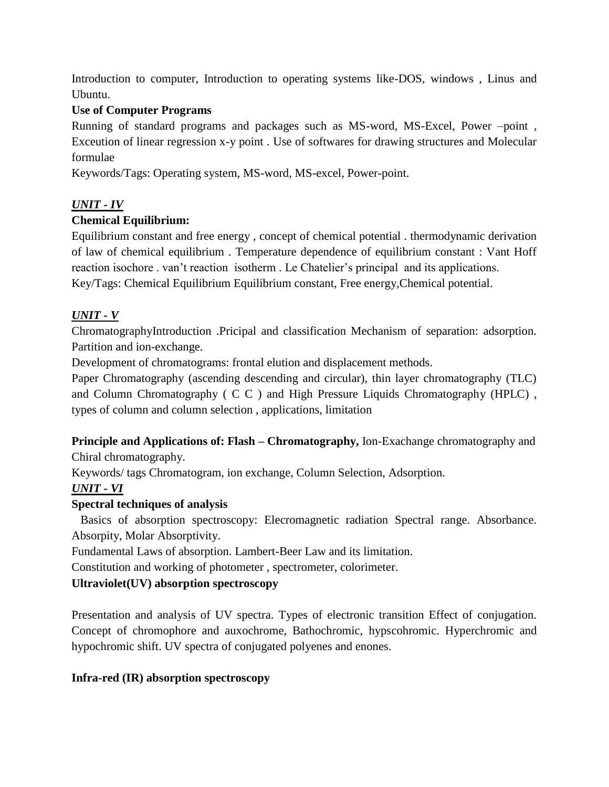Introduction to computer, Introduction to operating systems like-DOS, windows , Linus and Ubuntu.

## **Use of Computer Programs**

Running of standard programs and packages such as MS-word, MS-Excel, Power –point , Exceution of linear regression x-y point . Use of softwares for drawing structures and Molecular formulae

Keywords/Tags: Operating system, MS-word, MS-excel, Power-point.

## *UNIT - IV*

## **Chemical Equilibrium:**

Equilibrium constant and free energy , concept of chemical potential . thermodynamic derivation of law of chemical equilibrium . Temperature dependence of equilibrium constant : Vant Hoff reaction isochore . van't reaction isotherm . Le Chatelier's principal and its applications. Key/Tags: Chemical Equilibrium Equilibrium constant, Free energy,Chemical potential.

## *UNIT - V*

ChromatographyIntroduction .Pricipal and classification Mechanism of separation: adsorption. Partition and ion-exchange.

Development of chromatograms: frontal elution and displacement methods.

Paper Chromatography (ascending descending and circular), thin layer chromatography (TLC) and Column Chromatography ( C C ) and High Pressure Liquids Chromatography (HPLC) , types of column and column selection , applications, limitation

### **Principle and Applications of: Flash – Chromatography,** Ion-Exachange chromatography and Chiral chromatography.

Keywords/ tags Chromatogram, ion exchange, Column Selection, Adsorption.

# *UNIT - VI*

#### **Spectral techniques of analysis**

 Basics of absorption spectroscopy: Elecromagnetic radiation Spectral range. Absorbance. Absorpity, Molar Absorptivity.

Fundamental Laws of absorption. Lambert-Beer Law and its limitation.

Constitution and working of photometer , spectrometer, colorimeter.

## **Ultraviolet(UV) absorption spectroscopy**

Presentation and analysis of UV spectra. Types of electronic transition Effect of conjugation. Concept of chromophore and auxochrome, Bathochromic, hypscohromic. Hyperchromic and hypochromic shift. UV spectra of conjugated polyenes and enones.

#### **Infra-red (IR) absorption spectroscopy**